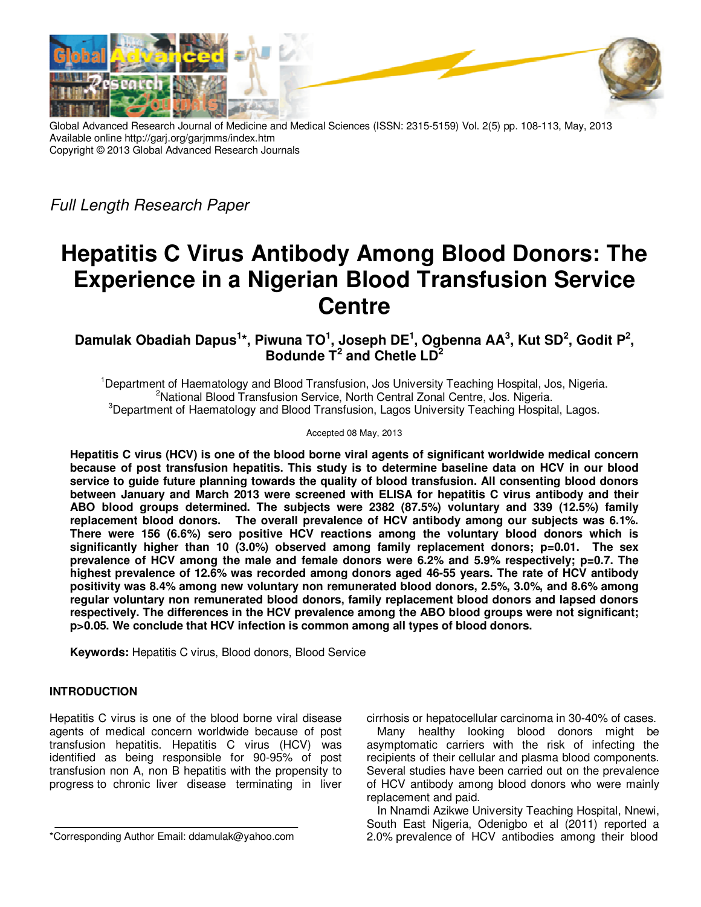

Global Advanced Research Journal of Medicine and Medical Sciences (ISSN: 2315-5159) Vol. 2(5) pp. 108-113, May, 2013 Available online http://garj.org/garjmms/index.htm Copyright © 2013 Global Advanced Research Journals

Full Length Research Paper

# **Hepatitis C Virus Antibody Among Blood Donors: The Experience in a Nigerian Blood Transfusion Service Centre**

**Damulak Obadiah Dapus<sup>1</sup> \*, Piwuna TO<sup>1</sup> , Joseph DE<sup>1</sup> , Ogbenna AA<sup>3</sup> , Kut SD<sup>2</sup> , Godit P<sup>2</sup> , Bodunde T<sup>2</sup> and Chetle LD<sup>2</sup>**

<sup>1</sup>Department of Haematology and Blood Transfusion, Jos University Teaching Hospital, Jos, Nigeria. <sup>2</sup>National Blood Transfusion Service, North Central Zonal Centre, Jos. Nigeria. <sup>3</sup>Department of Haematology and Blood Transfusion, Lagos University Teaching Hospital, Lagos.

#### Accepted 08 May, 2013

**Hepatitis C virus (HCV) is one of the blood borne viral agents of significant worldwide medical concern because of post transfusion hepatitis. This study is to determine baseline data on HCV in our blood service to guide future planning towards the quality of blood transfusion. All consenting blood donors between January and March 2013 were screened with ELISA for hepatitis C virus antibody and their ABO blood groups determined. The subjects were 2382 (87.5%) voluntary and 339 (12.5%) family replacement blood donors. The overall prevalence of HCV antibody among our subjects was 6.1%. There were 156 (6.6%) sero positive HCV reactions among the voluntary blood donors which is significantly higher than 10 (3.0%) observed among family replacement donors; p=0.01. The sex prevalence of HCV among the male and female donors were 6.2% and 5.9% respectively; p=0.7. The highest prevalence of 12.6% was recorded among donors aged 46-55 years. The rate of HCV antibody positivity was 8.4% among new voluntary non remunerated blood donors, 2.5%, 3.0%, and 8.6% among regular voluntary non remunerated blood donors, family replacement blood donors and lapsed donors respectively. The differences in the HCV prevalence among the ABO blood groups were not significant; p>0.05. We conclude that HCV infection is common among all types of blood donors.** 

**Keywords:** Hepatitis C virus, Blood donors, Blood Service

## **INTRODUCTION**

Hepatitis C virus is one of the blood borne viral disease agents of medical concern worldwide because of post transfusion hepatitis. Hepatitis C virus (HCV) was identified as being responsible for 90-95% of post transfusion non A, non B hepatitis with the propensity to progress to chronic liver disease terminating in liver

cirrhosis or hepatocellular carcinoma in 30-40% of cases.

Many healthy looking blood donors might be asymptomatic carriers with the risk of infecting the recipients of their cellular and plasma blood components. Several studies have been carried out on the prevalence of HCV antibody among blood donors who were mainly replacement and paid.

In Nnamdi Azikwe University Teaching Hospital, Nnewi, South East Nigeria, Odenigbo et al (2011) reported a 2.0% prevalence of HCV antibodies among their blood

<sup>\*</sup>Corresponding Author Email: ddamulak@yahoo.com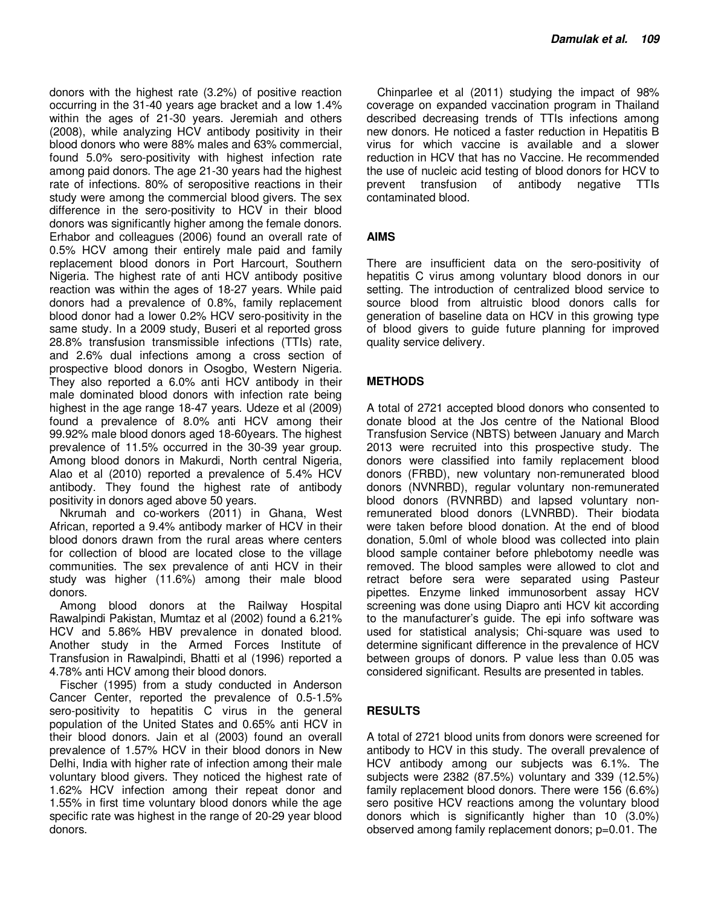donors with the highest rate (3.2%) of positive reaction occurring in the 31-40 years age bracket and a low 1.4% within the ages of 21-30 years. Jeremiah and others (2008), while analyzing HCV antibody positivity in their blood donors who were 88% males and 63% commercial, found 5.0% sero-positivity with highest infection rate among paid donors. The age 21-30 years had the highest rate of infections. 80% of seropositive reactions in their study were among the commercial blood givers. The sex difference in the sero-positivity to HCV in their blood donors was significantly higher among the female donors. Erhabor and colleagues (2006) found an overall rate of 0.5% HCV among their entirely male paid and family replacement blood donors in Port Harcourt, Southern Nigeria. The highest rate of anti HCV antibody positive reaction was within the ages of 18-27 years. While paid donors had a prevalence of 0.8%, family replacement blood donor had a lower 0.2% HCV sero-positivity in the same study. In a 2009 study, Buseri et al reported gross 28.8% transfusion transmissible infections (TTIs) rate, and 2.6% dual infections among a cross section of prospective blood donors in Osogbo, Western Nigeria. They also reported a 6.0% anti HCV antibody in their male dominated blood donors with infection rate being highest in the age range 18-47 years. Udeze et al (2009) found a prevalence of 8.0% anti HCV among their 99.92% male blood donors aged 18-60years. The highest prevalence of 11.5% occurred in the 30-39 year group. Among blood donors in Makurdi, North central Nigeria, Alao et al (2010) reported a prevalence of 5.4% HCV antibody. They found the highest rate of antibody positivity in donors aged above 50 years.

Nkrumah and co-workers (2011) in Ghana, West African, reported a 9.4% antibody marker of HCV in their blood donors drawn from the rural areas where centers for collection of blood are located close to the village communities. The sex prevalence of anti HCV in their study was higher (11.6%) among their male blood donors.

Among blood donors at the Railway Hospital Rawalpindi Pakistan, Mumtaz et al (2002) found a 6.21% HCV and 5.86% HBV prevalence in donated blood. Another study in the Armed Forces Institute of Transfusion in Rawalpindi, Bhatti et al (1996) reported a 4.78% anti HCV among their blood donors.

Fischer (1995) from a study conducted in Anderson Cancer Center, reported the prevalence of 0.5-1.5% sero-positivity to hepatitis C virus in the general population of the United States and 0.65% anti HCV in their blood donors. Jain et al (2003) found an overall prevalence of 1.57% HCV in their blood donors in New Delhi, India with higher rate of infection among their male voluntary blood givers. They noticed the highest rate of 1.62% HCV infection among their repeat donor and 1.55% in first time voluntary blood donors while the age specific rate was highest in the range of 20-29 year blood donors.

Chinparlee et al (2011) studying the impact of 98% coverage on expanded vaccination program in Thailand described decreasing trends of TTIs infections among new donors. He noticed a faster reduction in Hepatitis B virus for which vaccine is available and a slower reduction in HCV that has no Vaccine. He recommended the use of nucleic acid testing of blood donors for HCV to prevent transfusion of antibody negative TTIs contaminated blood.

## **AIMS**

There are insufficient data on the sero-positivity of hepatitis C virus among voluntary blood donors in our setting. The introduction of centralized blood service to source blood from altruistic blood donors calls for generation of baseline data on HCV in this growing type of blood givers to guide future planning for improved quality service delivery.

## **METHODS**

A total of 2721 accepted blood donors who consented to donate blood at the Jos centre of the National Blood Transfusion Service (NBTS) between January and March 2013 were recruited into this prospective study. The donors were classified into family replacement blood donors (FRBD), new voluntary non-remunerated blood donors (NVNRBD), regular voluntary non-remunerated blood donors (RVNRBD) and lapsed voluntary nonremunerated blood donors (LVNRBD). Their biodata were taken before blood donation. At the end of blood donation, 5.0ml of whole blood was collected into plain blood sample container before phlebotomy needle was removed. The blood samples were allowed to clot and retract before sera were separated using Pasteur pipettes. Enzyme linked immunosorbent assay HCV screening was done using Diapro anti HCV kit according to the manufacturer's guide. The epi info software was used for statistical analysis; Chi-square was used to determine significant difference in the prevalence of HCV between groups of donors. P value less than 0.05 was considered significant. Results are presented in tables.

#### **RESULTS**

A total of 2721 blood units from donors were screened for antibody to HCV in this study. The overall prevalence of HCV antibody among our subjects was 6.1%. The subjects were 2382 (87.5%) voluntary and 339 (12.5%) family replacement blood donors. There were 156 (6.6%) sero positive HCV reactions among the voluntary blood donors which is significantly higher than 10 (3.0%) observed among family replacement donors; p=0.01. The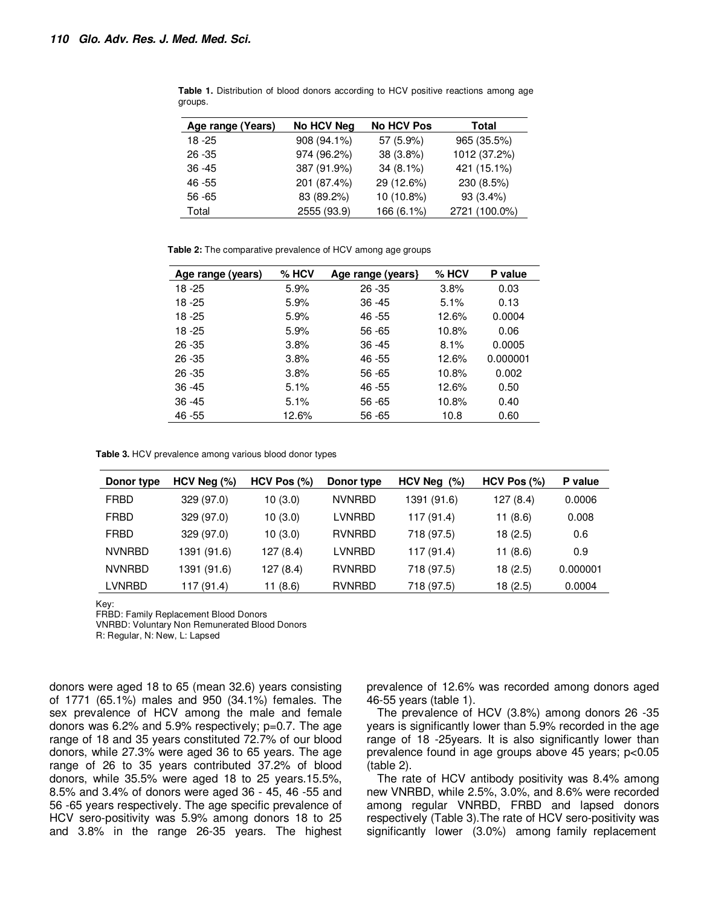| Age range (Years) | No HCV Neg  | <b>No HCV Pos</b> | Total         |
|-------------------|-------------|-------------------|---------------|
| 18 - 25           | 908 (94.1%) | 57 (5.9%)         | 965 (35.5%)   |
| $26 - 35$         | 974 (96.2%) | 38 (3.8%)         | 1012 (37.2%)  |
| $36 - 45$         | 387 (91.9%) | $34(8.1\%)$       | 421 (15.1%)   |
| 46 - 55           | 201 (87.4%) | 29 (12.6%)        | 230 (8.5%)    |
| $56 - 65$         | 83 (89.2%)  | 10 (10.8%)        | 93 (3.4%)     |
| Total             | 2555 (93.9) | 166 (6.1%)        | 2721 (100.0%) |

**Table 1.** Distribution of blood donors according to HCV positive reactions among age groups.

**Table 2:** The comparative prevalence of HCV among age groups

| $%$ HCV | Age range (years) | $%$ HCV | P value  |
|---------|-------------------|---------|----------|
| 5.9%    | $26 - 35$         | 3.8%    | 0.03     |
| 5.9%    | $36 - 45$         | 5.1%    | 0.13     |
| 5.9%    | 46 - 55           | 12.6%   | 0.0004   |
| 5.9%    | 56 - 65           | 10.8%   | 0.06     |
| 3.8%    | $36 - 45$         | 8.1%    | 0.0005   |
| 3.8%    | 46 - 55           | 12.6%   | 0.000001 |
| 3.8%    | 56 - 65           | 10.8%   | 0.002    |
| 5.1%    | 46 - 55           | 12.6%   | 0.50     |
| 5.1%    | $56 - 65$         | 10.8%   | 0.40     |
| 12.6%   | $56 - 65$         | 10.8    | 0.60     |
|         |                   |         |          |

**Table 3.** HCV prevalence among various blood donor types

| Donor type    | $HCV$ Neg $(\%)$ | HCV Pos (%) | Donor type    | HCV Neg $(\%)$ | $HCV$ Pos $(\%)$ | P value  |
|---------------|------------------|-------------|---------------|----------------|------------------|----------|
| <b>FRBD</b>   | 329 (97.0)       | 10(3.0)     | <b>NVNRBD</b> | 1391 (91.6)    | 127 (8.4)        | 0.0006   |
| <b>FRBD</b>   | 329 (97.0)       | 10(3.0)     | LVNRBD        | 117 (91.4)     | 11(8.6)          | 0.008    |
| <b>FRBD</b>   | 329 (97.0)       | 10(3.0)     | <b>RVNRBD</b> | 718 (97.5)     | 18(2.5)          | 0.6      |
| <b>NVNRBD</b> | 1391 (91.6)      | 127 (8.4)   | LVNRBD        | 117 (91.4)     | 11(8.6)          | 0.9      |
| <b>NVNRBD</b> | 1391 (91.6)      | 127 (8.4)   | <b>RVNRBD</b> | 718 (97.5)     | 18(2.5)          | 0.000001 |
| LVNRBD        | 117 (91.4)       | 11(8.6)     | <b>RVNRBD</b> | 718 (97.5)     | 18(2.5)          | 0.0004   |

Key:

FRBD: Family Replacement Blood Donors

VNRBD: Voluntary Non Remunerated Blood Donors

R: Regular, N: New, L: Lapsed

donors were aged 18 to 65 (mean 32.6) years consisting of 1771 (65.1%) males and 950 (34.1%) females. The sex prevalence of HCV among the male and female donors was 6.2% and 5.9% respectively; p=0.7. The age range of 18 and 35 years constituted 72.7% of our blood donors, while 27.3% were aged 36 to 65 years. The age range of 26 to 35 years contributed 37.2% of blood donors, while 35.5% were aged 18 to 25 years.15.5%, 8.5% and 3.4% of donors were aged 36 - 45, 46 -55 and 56 -65 years respectively. The age specific prevalence of HCV sero-positivity was 5.9% among donors 18 to 25 and 3.8% in the range 26-35 years. The highest prevalence of 12.6% was recorded among donors aged 46-55 years (table 1).

The prevalence of HCV (3.8%) among donors 26 -35 years is significantly lower than 5.9% recorded in the age range of 18 -25years. It is also significantly lower than prevalence found in age groups above 45 years; p<0.05 (table 2).

The rate of HCV antibody positivity was 8.4% among new VNRBD, while 2.5%, 3.0%, and 8.6% were recorded among regular VNRBD, FRBD and lapsed donors respectively (Table 3).The rate of HCV sero-positivity was significantly lower (3.0%) among family replacement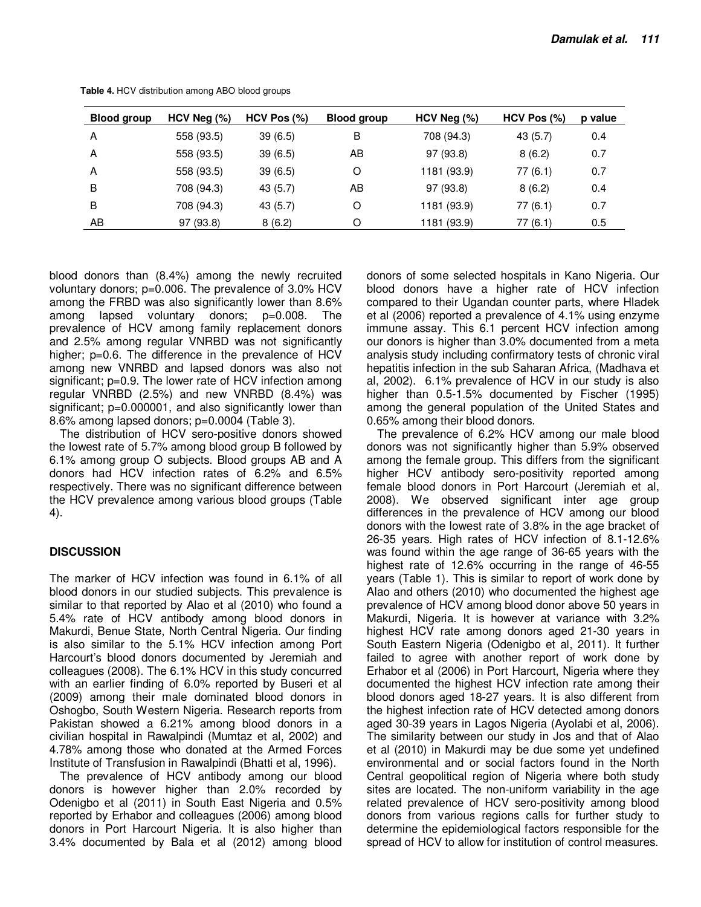| <b>Blood group</b> | $HCV$ Neg $(\%)$ | $HCV$ Pos $(\%)$ | Blood group | $HCV$ Neg $(\%)$ | HCV Pos (%) | p value |
|--------------------|------------------|------------------|-------------|------------------|-------------|---------|
| A                  | 558 (93.5)       | 39(6.5)          | В           | 708 (94.3)       | 43(5.7)     | 0.4     |
| A                  | 558 (93.5)       | 39(6.5)          | AB          | 97 (93.8)        | 8(6.2)      | 0.7     |
| A                  | 558 (93.5)       | 39(6.5)          | O           | 1181 (93.9)      | 77(6.1)     | 0.7     |
| B                  | 708 (94.3)       | 43 (5.7)         | AВ          | 97 (93.8)        | 8(6.2)      | 0.4     |
| B                  | 708 (94.3)       | 43 (5.7)         | O           | 1181 (93.9)      | 77(6.1)     | 0.7     |
| AB                 | 97 (93.8)        | 8(6.2)           | Ω           | 1181 (93.9)      | 77 (6.1)    | 0.5     |

**Table 4.** HCV distribution among ABO blood groups

blood donors than (8.4%) among the newly recruited voluntary donors; p=0.006. The prevalence of 3.0% HCV among the FRBD was also significantly lower than 8.6% among lapsed voluntary donors; p=0.008. The prevalence of HCV among family replacement donors and 2.5% among regular VNRBD was not significantly higher; p=0.6. The difference in the prevalence of HCV among new VNRBD and lapsed donors was also not significant; p=0.9. The lower rate of HCV infection among regular VNRBD (2.5%) and new VNRBD (8.4%) was significant;  $p=0.000001$ , and also significantly lower than 8.6% among lapsed donors; p=0.0004 (Table 3).

The distribution of HCV sero-positive donors showed the lowest rate of 5.7% among blood group B followed by 6.1% among group O subjects. Blood groups AB and A donors had HCV infection rates of 6.2% and 6.5% respectively. There was no significant difference between the HCV prevalence among various blood groups (Table 4).

## **DISCUSSION**

The marker of HCV infection was found in 6.1% of all blood donors in our studied subjects. This prevalence is similar to that reported by Alao et al (2010) who found a 5.4% rate of HCV antibody among blood donors in Makurdi, Benue State, North Central Nigeria. Our finding is also similar to the 5.1% HCV infection among Port Harcourt's blood donors documented by Jeremiah and colleagues (2008). The 6.1% HCV in this study concurred with an earlier finding of 6.0% reported by Buseri et al (2009) among their male dominated blood donors in Oshogbo, South Western Nigeria. Research reports from Pakistan showed a 6.21% among blood donors in a civilian hospital in Rawalpindi (Mumtaz et al, 2002) and 4.78% among those who donated at the Armed Forces Institute of Transfusion in Rawalpindi (Bhatti et al, 1996).

The prevalence of HCV antibody among our blood donors is however higher than 2.0% recorded by Odenigbo et al (2011) in South East Nigeria and 0.5% reported by Erhabor and colleagues (2006) among blood donors in Port Harcourt Nigeria. It is also higher than 3.4% documented by Bala et al (2012) among blood

donors of some selected hospitals in Kano Nigeria. Our blood donors have a higher rate of HCV infection compared to their Ugandan counter parts, where Hladek et al (2006) reported a prevalence of 4.1% using enzyme immune assay. This 6.1 percent HCV infection among our donors is higher than 3.0% documented from a meta analysis study including confirmatory tests of chronic viral hepatitis infection in the sub Saharan Africa, (Madhava et al, 2002). 6.1% prevalence of HCV in our study is also higher than 0.5-1.5% documented by Fischer (1995) among the general population of the United States and 0.65% among their blood donors.

The prevalence of 6.2% HCV among our male blood donors was not significantly higher than 5.9% observed among the female group. This differs from the significant higher HCV antibody sero-positivity reported among female blood donors in Port Harcourt (Jeremiah et al, 2008). We observed significant inter age group differences in the prevalence of HCV among our blood donors with the lowest rate of 3.8% in the age bracket of 26-35 years. High rates of HCV infection of 8.1-12.6% was found within the age range of 36-65 years with the highest rate of 12.6% occurring in the range of 46-55 years (Table 1). This is similar to report of work done by Alao and others (2010) who documented the highest age prevalence of HCV among blood donor above 50 years in Makurdi, Nigeria. It is however at variance with 3.2% highest HCV rate among donors aged 21-30 years in South Eastern Nigeria (Odenigbo et al, 2011). It further failed to agree with another report of work done by Erhabor et al (2006) in Port Harcourt, Nigeria where they documented the highest HCV infection rate among their blood donors aged 18-27 years. It is also different from the highest infection rate of HCV detected among donors aged 30-39 years in Lagos Nigeria (Ayolabi et al, 2006). The similarity between our study in Jos and that of Alao et al (2010) in Makurdi may be due some yet undefined environmental and or social factors found in the North Central geopolitical region of Nigeria where both study sites are located. The non-uniform variability in the age related prevalence of HCV sero-positivity among blood donors from various regions calls for further study to determine the epidemiological factors responsible for the spread of HCV to allow for institution of control measures.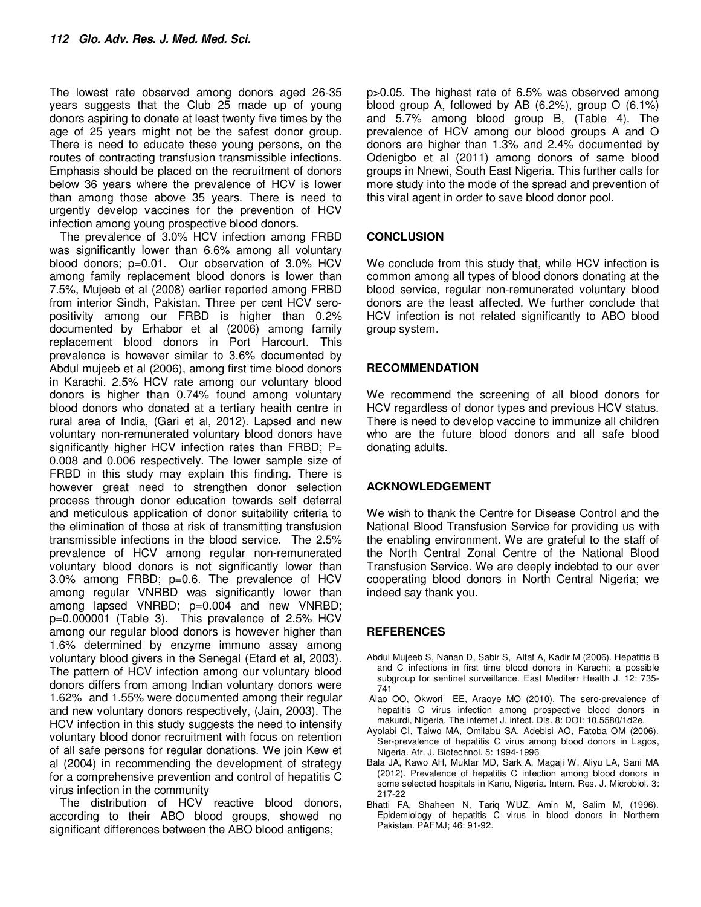The lowest rate observed among donors aged 26-35 years suggests that the Club 25 made up of young donors aspiring to donate at least twenty five times by the age of 25 years might not be the safest donor group. There is need to educate these young persons, on the routes of contracting transfusion transmissible infections. Emphasis should be placed on the recruitment of donors below 36 years where the prevalence of HCV is lower than among those above 35 years. There is need to urgently develop vaccines for the prevention of HCV infection among young prospective blood donors.

The prevalence of 3.0% HCV infection among FRBD was significantly lower than 6.6% among all voluntary blood donors; p=0.01. Our observation of 3.0% HCV among family replacement blood donors is lower than 7.5%, Mujeeb et al (2008) earlier reported among FRBD from interior Sindh, Pakistan. Three per cent HCV seropositivity among our FRBD is higher than 0.2% documented by Erhabor et al (2006) among family replacement blood donors in Port Harcourt. This prevalence is however similar to 3.6% documented by Abdul mujeeb et al (2006), among first time blood donors in Karachi. 2.5% HCV rate among our voluntary blood donors is higher than 0.74% found among voluntary blood donors who donated at a tertiary heaith centre in rural area of India, (Gari et al, 2012). Lapsed and new voluntary non-remunerated voluntary blood donors have significantly higher HCV infection rates than FRBD;  $P=$ 0.008 and 0.006 respectively. The lower sample size of FRBD in this study may explain this finding. There is however great need to strengthen donor selection process through donor education towards self deferral and meticulous application of donor suitability criteria to the elimination of those at risk of transmitting transfusion transmissible infections in the blood service. The 2.5% prevalence of HCV among regular non-remunerated voluntary blood donors is not significantly lower than 3.0% among FRBD; p=0.6. The prevalence of HCV among regular VNRBD was significantly lower than among lapsed VNRBD; p=0.004 and new VNRBD; p=0.000001 (Table 3). This prevalence of 2.5% HCV among our regular blood donors is however higher than 1.6% determined by enzyme immuno assay among voluntary blood givers in the Senegal (Etard et al, 2003). The pattern of HCV infection among our voluntary blood donors differs from among Indian voluntary donors were 1.62% and 1.55% were documented among their regular and new voluntary donors respectively, (Jain, 2003). The HCV infection in this study suggests the need to intensify voluntary blood donor recruitment with focus on retention of all safe persons for regular donations. We join Kew et al (2004) in recommending the development of strategy for a comprehensive prevention and control of hepatitis C virus infection in the community

The distribution of HCV reactive blood donors, according to their ABO blood groups, showed no significant differences between the ABO blood antigens;

p>0.05. The highest rate of 6.5% was observed among blood group A, followed by AB (6.2%), group O (6.1%) and 5.7% among blood group B, (Table 4). The prevalence of HCV among our blood groups A and O donors are higher than 1.3% and 2.4% documented by Odenigbo et al (2011) among donors of same blood groups in Nnewi, South East Nigeria. This further calls for more study into the mode of the spread and prevention of this viral agent in order to save blood donor pool.

## **CONCLUSION**

We conclude from this study that, while HCV infection is common among all types of blood donors donating at the blood service, regular non-remunerated voluntary blood donors are the least affected. We further conclude that HCV infection is not related significantly to ABO blood group system.

#### **RECOMMENDATION**

We recommend the screening of all blood donors for HCV regardless of donor types and previous HCV status. There is need to develop vaccine to immunize all children who are the future blood donors and all safe blood donating adults.

## **ACKNOWLEDGEMENT**

We wish to thank the Centre for Disease Control and the National Blood Transfusion Service for providing us with the enabling environment. We are grateful to the staff of the North Central Zonal Centre of the National Blood Transfusion Service. We are deeply indebted to our ever cooperating blood donors in North Central Nigeria; we indeed say thank you.

#### **REFERENCES**

- Abdul Mujeeb S, Nanan D, Sabir S, Altaf A, Kadir M (2006). Hepatitis B and C infections in first time blood donors in Karachi: a possible subgroup for sentinel surveillance. East Mediterr Health J. 12: 735- 741
- Alao OO, Okwori EE, Araoye MO (2010). The sero-prevalence of hepatitis C virus infection among prospective blood donors in makurdi, Nigeria. The internet J. infect. Dis. 8: DOI: 10.5580/1d2e.
- Ayolabi CI, Taiwo MA, Omilabu SA, Adebisi AO, Fatoba OM (2006). Ser-prevalence of hepatitis C virus among blood donors in Lagos, Nigeria. Afr. J. Biotechnol. 5: 1994-1996
- Bala JA, Kawo AH, Muktar MD, Sark A, Magaji W, Aliyu LA, Sani MA (2012). Prevalence of hepatitis C infection among blood donors in some selected hospitals in Kano, Nigeria. Intern. Res. J. Microbiol. 3: 217-22
- Bhatti FA, Shaheen N, Tariq WUZ, Amin M, Salim M, (1996). Epidemiology of hepatitis C virus in blood donors in Northern Pakistan. PAFMJ; 46: 91-92.